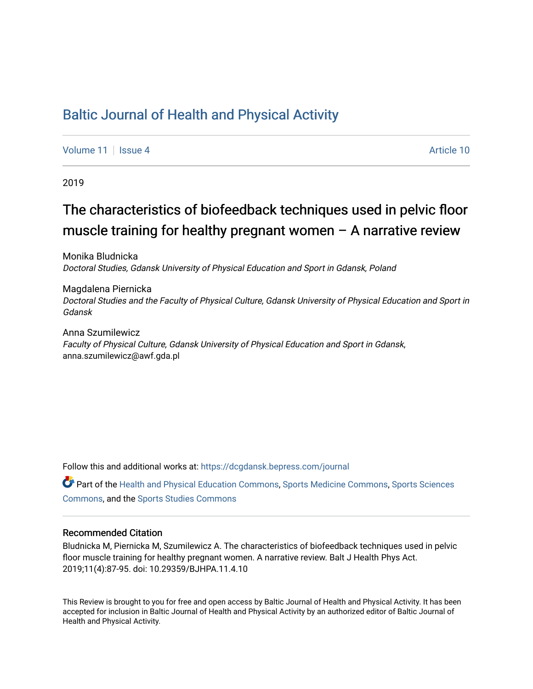### [Baltic Journal of Health and Physical Activity](https://dcgdansk.bepress.com/journal)

[Volume 11](https://dcgdansk.bepress.com/journal/vol11) | [Issue 4](https://dcgdansk.bepress.com/journal/vol11/iss4) Article 10

2019

# The characteristics of biofeedback techniques used in pelvic floor muscle training for healthy pregnant women – A narrative review

Monika Bludnicka Doctoral Studies, Gdansk University of Physical Education and Sport in Gdansk, Poland

Magdalena Piernicka Doctoral Studies and the Faculty of Physical Culture, Gdansk University of Physical Education and Sport in Gdansk

Anna Szumilewicz Faculty of Physical Culture, Gdansk University of Physical Education and Sport in Gdansk, anna.szumilewicz@awf.gda.pl

Follow this and additional works at: [https://dcgdansk.bepress.com/journal](https://dcgdansk.bepress.com/journal?utm_source=dcgdansk.bepress.com%2Fjournal%2Fvol11%2Fiss4%2F10&utm_medium=PDF&utm_campaign=PDFCoverPages)

Part of the [Health and Physical Education Commons](http://network.bepress.com/hgg/discipline/1327?utm_source=dcgdansk.bepress.com%2Fjournal%2Fvol11%2Fiss4%2F10&utm_medium=PDF&utm_campaign=PDFCoverPages), [Sports Medicine Commons,](http://network.bepress.com/hgg/discipline/1331?utm_source=dcgdansk.bepress.com%2Fjournal%2Fvol11%2Fiss4%2F10&utm_medium=PDF&utm_campaign=PDFCoverPages) [Sports Sciences](http://network.bepress.com/hgg/discipline/759?utm_source=dcgdansk.bepress.com%2Fjournal%2Fvol11%2Fiss4%2F10&utm_medium=PDF&utm_campaign=PDFCoverPages) [Commons](http://network.bepress.com/hgg/discipline/759?utm_source=dcgdansk.bepress.com%2Fjournal%2Fvol11%2Fiss4%2F10&utm_medium=PDF&utm_campaign=PDFCoverPages), and the [Sports Studies Commons](http://network.bepress.com/hgg/discipline/1198?utm_source=dcgdansk.bepress.com%2Fjournal%2Fvol11%2Fiss4%2F10&utm_medium=PDF&utm_campaign=PDFCoverPages) 

#### Recommended Citation

Bludnicka M, Piernicka M, Szumilewicz A. The characteristics of biofeedback techniques used in pelvic floor muscle training for healthy pregnant women. A narrative review. Balt J Health Phys Act. 2019;11(4):87-95. doi: 10.29359/BJHPA.11.4.10

This Review is brought to you for free and open access by Baltic Journal of Health and Physical Activity. It has been accepted for inclusion in Baltic Journal of Health and Physical Activity by an authorized editor of Baltic Journal of Health and Physical Activity.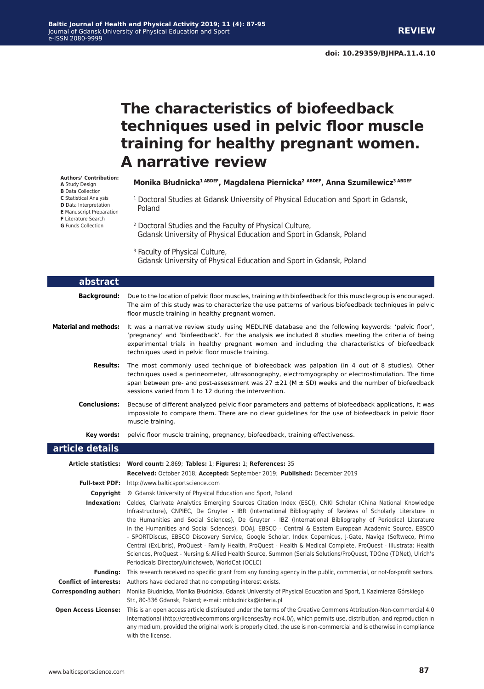# **The characteristics of biofeedback techniques used in pelvic floor muscle training for healthy pregnant women. A narrative review**

**Monika Błudnicka1 ABDEF, Magdalena Piernicka<sup>2</sup> ABDEF, Anna Szumilewicz3 ABDEF**

- 1 Doctoral Studies at Gdansk University of Physical Education and Sport in Gdansk, Poland
- 2 Doctoral Studies and the Faculty of Physical Culture, Gdansk University of Physical Education and Sport in Gdansk, Poland

<sup>3</sup> Faculty of Physical Culture, Gdansk University of Physical Education and Sport in Gdansk, Poland

| abstract                     |                                                                                                                                                                                                                                                                                                                                                                                                                                                                                                                                                                                                                                                                                                                                                                                                                                                                           |  |  |  |
|------------------------------|---------------------------------------------------------------------------------------------------------------------------------------------------------------------------------------------------------------------------------------------------------------------------------------------------------------------------------------------------------------------------------------------------------------------------------------------------------------------------------------------------------------------------------------------------------------------------------------------------------------------------------------------------------------------------------------------------------------------------------------------------------------------------------------------------------------------------------------------------------------------------|--|--|--|
| <b>Background:</b>           | Due to the location of pelvic floor muscles, training with biofeedback for this muscle group is encouraged.<br>The aim of this study was to characterize the use patterns of various biofeedback techniques in pelvic<br>floor muscle training in healthy pregnant women.                                                                                                                                                                                                                                                                                                                                                                                                                                                                                                                                                                                                 |  |  |  |
| <b>Material and methods:</b> | It was a narrative review study using MEDLINE database and the following keywords: 'pelvic floor',<br>'pregnancy' and 'biofeedback'. For the analysis we included 8 studies meeting the criteria of being<br>experimental trials in healthy pregnant women and including the characteristics of biofeedback<br>techniques used in pelvic floor muscle training.                                                                                                                                                                                                                                                                                                                                                                                                                                                                                                           |  |  |  |
| <b>Results:</b>              | The most commonly used technique of biofeedback was palpation (in 4 out of 8 studies). Other<br>techniques used a perineometer, ultrasonography, electromyography or electrostimulation. The time<br>span between pre- and post-assessment was $27 \pm 21$ (M $\pm$ SD) weeks and the number of biofeedback<br>sessions varied from 1 to 12 during the intervention.                                                                                                                                                                                                                                                                                                                                                                                                                                                                                                      |  |  |  |
| <b>Conclusions:</b>          | Because of different analyzed pelvic floor parameters and patterns of biofeedback applications, it was<br>impossible to compare them. There are no clear guidelines for the use of biofeedback in pelvic floor<br>muscle training.                                                                                                                                                                                                                                                                                                                                                                                                                                                                                                                                                                                                                                        |  |  |  |
| Key words:                   | pelvic floor muscle training, pregnancy, biofeedback, training effectiveness.                                                                                                                                                                                                                                                                                                                                                                                                                                                                                                                                                                                                                                                                                                                                                                                             |  |  |  |
| article details              |                                                                                                                                                                                                                                                                                                                                                                                                                                                                                                                                                                                                                                                                                                                                                                                                                                                                           |  |  |  |
|                              | Article statistics: Word count: 2,869; Tables: 1; Figures: 1; References: 35                                                                                                                                                                                                                                                                                                                                                                                                                                                                                                                                                                                                                                                                                                                                                                                              |  |  |  |
|                              | Received: October 2018; Accepted: September 2019; Published: December 2019                                                                                                                                                                                                                                                                                                                                                                                                                                                                                                                                                                                                                                                                                                                                                                                                |  |  |  |
|                              | Full-text PDF: http://www.balticsportscience.com                                                                                                                                                                                                                                                                                                                                                                                                                                                                                                                                                                                                                                                                                                                                                                                                                          |  |  |  |
|                              | <b>Copyright</b> © Gdansk University of Physical Education and Sport, Poland                                                                                                                                                                                                                                                                                                                                                                                                                                                                                                                                                                                                                                                                                                                                                                                              |  |  |  |
|                              | Indexation: Celdes, Clarivate Analytics Emerging Sources Citation Index (ESCI), CNKI Scholar (China National Knowledge<br>Infrastructure), CNPIEC, De Gruyter - IBR (International Bibliography of Reviews of Scholarly Literature in<br>the Humanities and Social Sciences), De Gruyter - IBZ (International Bibliography of Periodical Literature<br>in the Humanities and Social Sciences), DOAJ, EBSCO - Central & Eastern European Academic Source, EBSCO<br>- SPORTDiscus, EBSCO Discovery Service, Google Scholar, Index Copernicus, J-Gate, Naviga (Softweco, Primo<br>Central (ExLibris), ProQuest - Family Health, ProQuest - Health & Medical Complete, ProQuest - Illustrata: Health<br>Sciences, ProQuest - Nursing & Allied Health Source, Summon (Serials Solutions/ProQuest, TDOne (TDNet), Ulrich's<br>Periodicals Directory/ulrichsweb, WorldCat (OCLC) |  |  |  |
| <b>Fundina:</b>              | This research received no specific grant from any funding agency in the public, commercial, or not-for-profit sectors.                                                                                                                                                                                                                                                                                                                                                                                                                                                                                                                                                                                                                                                                                                                                                    |  |  |  |
|                              | <b>Conflict of interests:</b> Authors have declared that no competing interest exists.                                                                                                                                                                                                                                                                                                                                                                                                                                                                                                                                                                                                                                                                                                                                                                                    |  |  |  |
| <b>Corresponding author:</b> | Monika Błudnicka, Monika Błudnicka, Gdansk University of Physical Education and Sport, 1 Kazimierza Górskiego<br>Str., 80-336 Gdansk, Poland; e-mail: mbludnicka@interia.pl                                                                                                                                                                                                                                                                                                                                                                                                                                                                                                                                                                                                                                                                                               |  |  |  |
|                              | <b>Open Access License:</b> This is an open access article distributed under the terms of the Creative Commons Attribution-Non-commercial 4.0<br>International (http://creativecommons.org/licenses/by-nc/4.0/), which permits use, distribution, and reproduction in<br>any medium, provided the original work is properly cited, the use is non-commercial and is otherwise in compliance<br>with the license.                                                                                                                                                                                                                                                                                                                                                                                                                                                          |  |  |  |

**Authors' Contribution: A** Study Design **B** Data Collection

- **C** Statistical Analysis **D** Data Interpretation
- **E** Manuscript Preparation
- **F** Literature Search
- **G** Funds Collection

I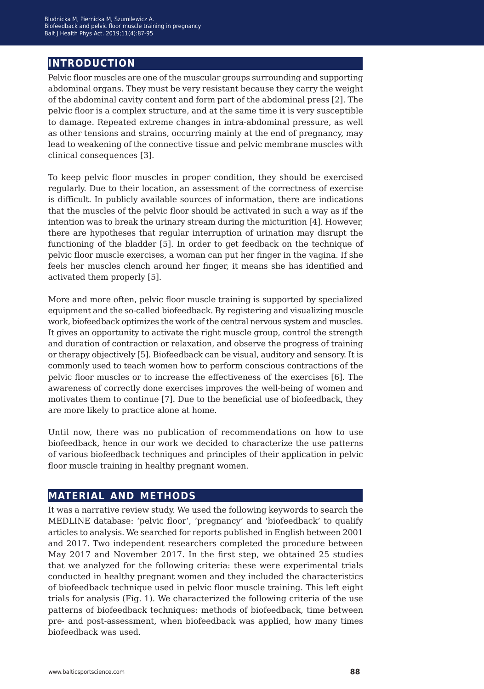### **introduction**

Pelvic floor muscles are one of the muscular groups surrounding and supporting abdominal organs. They must be very resistant because they carry the weight of the abdominal cavity content and form part of the abdominal press [2]. The pelvic floor is a complex structure, and at the same time it is very susceptible to damage. Repeated extreme changes in intra-abdominal pressure, as well as other tensions and strains, occurring mainly at the end of pregnancy, may lead to weakening of the connective tissue and pelvic membrane muscles with clinical consequences [3].

To keep pelvic floor muscles in proper condition, they should be exercised regularly. Due to their location, an assessment of the correctness of exercise is difficult. In publicly available sources of information, there are indications that the muscles of the pelvic floor should be activated in such a way as if the intention was to break the urinary stream during the micturition [4]. However, there are hypotheses that regular interruption of urination may disrupt the functioning of the bladder [5]. In order to get feedback on the technique of pelvic floor muscle exercises, a woman can put her finger in the vagina. If she feels her muscles clench around her finger, it means she has identified and activated them properly [5].

More and more often, pelvic floor muscle training is supported by specialized equipment and the so-called biofeedback. By registering and visualizing muscle work, biofeedback optimizes the work of the central nervous system and muscles. It gives an opportunity to activate the right muscle group, control the strength and duration of contraction or relaxation, and observe the progress of training or therapy objectively [5]. Biofeedback can be visual, auditory and sensory. It is commonly used to teach women how to perform conscious contractions of the pelvic floor muscles or to increase the effectiveness of the exercises [6]. The awareness of correctly done exercises improves the well-being of women and motivates them to continue [7]. Due to the beneficial use of biofeedback, they are more likely to practice alone at home.

Until now, there was no publication of recommendations on how to use biofeedback, hence in our work we decided to characterize the use patterns of various biofeedback techniques and principles of their application in pelvic floor muscle training in healthy pregnant women.

#### **material and methods**

It was a narrative review study. We used the following keywords to search the MEDLINE database: 'pelvic floor', 'pregnancy' and 'biofeedback' to qualify articles to analysis. We searched for reports published in English between 2001 and 2017. Two independent researchers completed the procedure between May 2017 and November 2017. In the first step, we obtained 25 studies that we analyzed for the following criteria: these were experimental trials conducted in healthy pregnant women and they included the characteristics of biofeedback technique used in pelvic floor muscle training. This left eight trials for analysis (Fig. 1). We characterized the following criteria of the use patterns of biofeedback techniques: methods of biofeedback, time between pre- and post-assessment, when biofeedback was applied, how many times biofeedback was used.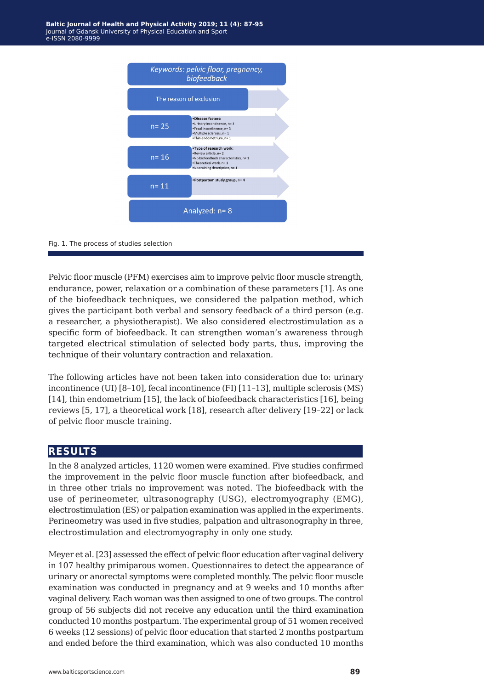

Fig. 1. The process of studies selection

Pelvic floor muscle (PFM) exercises aim to improve pelvic floor muscle strength, endurance, power, relaxation or a combination of these parameters [1]. As one of the biofeedback techniques, we considered the palpation method, which gives the participant both verbal and sensory feedback of a third person (e.g. a researcher, a physiotherapist). We also considered electrostimulation as a specific form of biofeedback. It can strengthen woman's awareness through targeted electrical stimulation of selected body parts, thus, improving the technique of their voluntary contraction and relaxation.

The following articles have not been taken into consideration due to: urinary incontinence (UI) [8–10], fecal incontinence (FI) [11–13], multiple sclerosis (MS) [14], thin endometrium [15], the lack of biofeedback characteristics [16], being reviews [5, 17], a theoretical work [18], research after delivery [19–22] or lack of pelvic floor muscle training.

#### **results**

In the 8 analyzed articles, 1120 women were examined. Five studies confirmed the improvement in the pelvic floor muscle function after biofeedback, and in three other trials no improvement was noted. The biofeedback with the use of perineometer, ultrasonography (USG), electromyography (EMG), electrostimulation (ES) or palpation examination was applied in the experiments. Perineometry was used in five studies, palpation and ultrasonography in three, electrostimulation and electromyography in only one study.

Meyer et al. [23] assessed the effect of pelvic floor education after vaginal delivery in 107 healthy primiparous women. Questionnaires to detect the appearance of urinary or anorectal symptoms were completed monthly. The pelvic floor muscle examination was conducted in pregnancy and at 9 weeks and 10 months after vaginal delivery. Each woman was then assigned to one of two groups. The control group of 56 subjects did not receive any education until the third examination conducted 10 months postpartum. The experimental group of 51 women received 6 weeks (12 sessions) of pelvic floor education that started 2 months postpartum and ended before the third examination, which was also conducted 10 months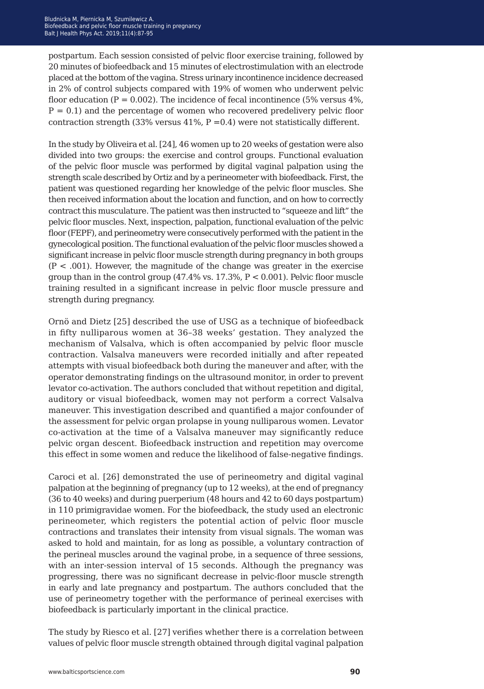postpartum. Each session consisted of pelvic floor exercise training, followed by 20 minutes of biofeedback and 15 minutes of electrostimulation with an electrode placed at the bottom of the vagina. Stress urinary incontinence incidence decreased in 2% of control subjects compared with 19% of women who underwent pelvic floor education ( $P = 0.002$ ). The incidence of fecal incontinence (5% versus 4%,  $P = 0.1$ ) and the percentage of women who recovered predelivery pelvic floor contraction strength (33% versus 41%,  $P = 0.4$ ) were not statistically different.

In the study by Oliveira et al. [24], 46 women up to 20 weeks of gestation were also divided into two groups: the exercise and control groups. Functional evaluation of the pelvic floor muscle was performed by digital vaginal palpation using the strength scale described by Ortiz and by a perineometer with biofeedback. First, the patient was questioned regarding her knowledge of the pelvic floor muscles. She then received information about the location and function, and on how to correctly contract this musculature. The patient was then instructed to "squeeze and lift" the pelvic floor muscles. Next, inspection, palpation, functional evaluation of the pelvic floor (FEPF), and perineometry were consecutively performed with the patient in the gynecological position. The functional evaluation of the pelvic floor muscles showed a significant increase in pelvic floor muscle strength during pregnancy in both groups  $(P < .001)$ . However, the magnitude of the change was greater in the exercise group than in the control group  $(47.4\% \text{ vs. } 17.3\% \text{ P} < 0.001)$ . Pelvic floor muscle training resulted in a significant increase in pelvic floor muscle pressure and strength during pregnancy.

Ornö and Dietz [25] described the use of USG as a technique of biofeedback in fifty nulliparous women at 36–38 weeks' gestation. They analyzed the mechanism of Valsalva, which is often accompanied by pelvic floor muscle contraction. Valsalva maneuvers were recorded initially and after repeated attempts with visual biofeedback both during the maneuver and after, with the operator demonstrating findings on the ultrasound monitor, in order to prevent levator co-activation. The authors concluded that without repetition and digital, auditory or visual biofeedback, women may not perform a correct Valsalva maneuver. This investigation described and quantified a major confounder of the assessment for pelvic organ prolapse in young nulliparous women. Levator co-activation at the time of a Valsalva maneuver may significantly reduce pelvic organ descent. Biofeedback instruction and repetition may overcome this effect in some women and reduce the likelihood of false-negative findings.

Caroci et al. [26] demonstrated the use of perineometry and digital vaginal palpation at the beginning of pregnancy (up to 12 weeks), at the end of pregnancy (36 to 40 weeks) and during puerperium (48 hours and 42 to 60 days postpartum) in 110 primigravidae women. For the biofeedback, the study used an electronic perineometer, which registers the potential action of pelvic floor muscle contractions and translates their intensity from visual signals. The woman was asked to hold and maintain, for as long as possible, a voluntary contraction of the perineal muscles around the vaginal probe, in a sequence of three sessions, with an inter-session interval of 15 seconds. Although the pregnancy was progressing, there was no significant decrease in pelvic-floor muscle strength in early and late pregnancy and postpartum. The authors concluded that the use of perineometry together with the performance of perineal exercises with biofeedback is particularly important in the clinical practice.

The study by Riesco et al. [27] verifies whether there is a correlation between values of pelvic floor muscle strength obtained through digital vaginal palpation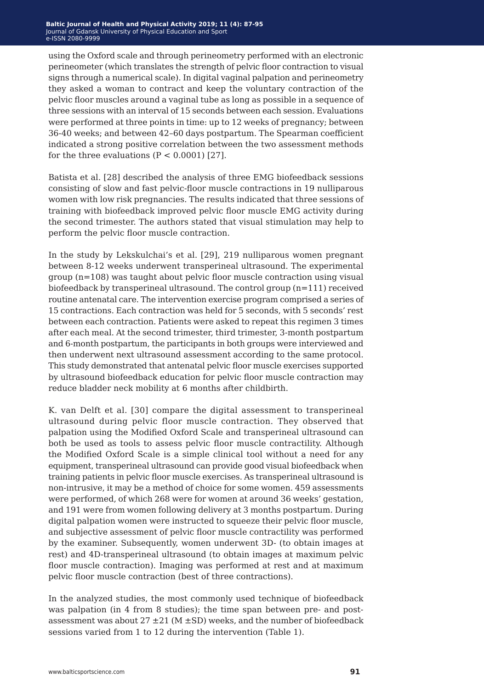using the Oxford scale and through perineometry performed with an electronic perineometer (which translates the strength of pelvic floor contraction to visual signs through a numerical scale). In digital vaginal palpation and perineometry they asked a woman to contract and keep the voluntary contraction of the pelvic floor muscles around a vaginal tube as long as possible in a sequence of three sessions with an interval of 15 seconds between each session. Evaluations were performed at three points in time: up to 12 weeks of pregnancy; between 36-40 weeks; and between 42–60 days postpartum. The Spearman coefficient indicated a strong positive correlation between the two assessment methods for the three evaluations  $(P < 0.0001)$  [27].

Batista et al. [28] described the analysis of three EMG biofeedback sessions consisting of slow and fast pelvic-floor muscle contractions in 19 nulliparous women with low risk pregnancies. The results indicated that three sessions of training with biofeedback improved pelvic floor muscle EMG activity during the second trimester. The authors stated that visual stimulation may help to perform the pelvic floor muscle contraction.

In the study by Lekskulchai's et al. [29], 219 nulliparous women pregnant between 8-12 weeks underwent transperineal ultrasound. The experimental group (n=108) was taught about pelvic floor muscle contraction using visual biofeedback by transperineal ultrasound. The control group  $(n=111)$  received routine antenatal care. The intervention exercise program comprised a series of 15 contractions. Each contraction was held for 5 seconds, with 5 seconds' rest between each contraction. Patients were asked to repeat this regimen 3 times after each meal. At the second trimester, third trimester, 3-month postpartum and 6-month postpartum, the participants in both groups were interviewed and then underwent next ultrasound assessment according to the same protocol. This study demonstrated that antenatal pelvic floor muscle exercises supported by ultrasound biofeedback education for pelvic floor muscle contraction may reduce bladder neck mobility at 6 months after childbirth.

K. van Delft et al. [30] compare the digital assessment to transperineal ultrasound during pelvic floor muscle contraction. They observed that palpation using the Modified Oxford Scale and transperineal ultrasound can both be used as tools to assess pelvic floor muscle contractility. Although the Modified Oxford Scale is a simple clinical tool without a need for any equipment, transperineal ultrasound can provide good visual biofeedback when training patients in pelvic floor muscle exercises. As transperineal ultrasound is non-intrusive, it may be a method of choice for some women. 459 assessments were performed, of which 268 were for women at around 36 weeks' gestation, and 191 were from women following delivery at 3 months postpartum. During digital palpation women were instructed to squeeze their pelvic floor muscle, and subjective assessment of pelvic floor muscle contractility was performed by the examiner. Subsequently, women underwent 3D- (to obtain images at rest) and 4D-transperineal ultrasound (to obtain images at maximum pelvic floor muscle contraction). Imaging was performed at rest and at maximum pelvic floor muscle contraction (best of three contractions).

In the analyzed studies, the most commonly used technique of biofeedback was palpation (in 4 from 8 studies); the time span between pre- and postassessment was about  $27 \pm 21$  (M  $\pm$ SD) weeks, and the number of biofeedback sessions varied from 1 to 12 during the intervention (Table 1).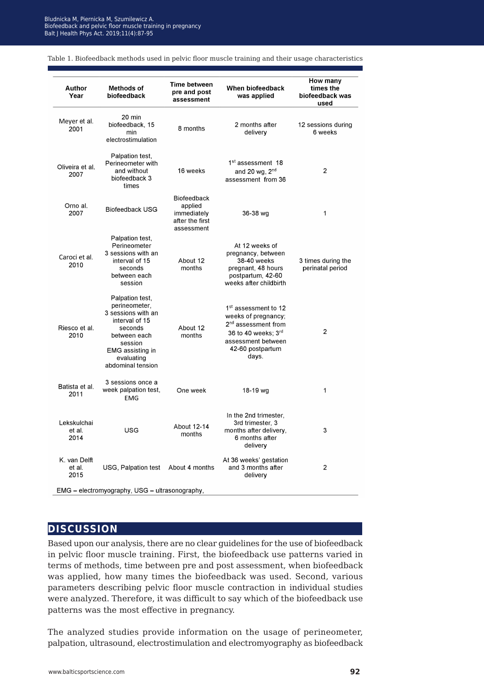Biofeedback and pelvic floor muscle training in pregnancy alt I Health Phys<sup>i</sup> Act. 2019:11(4):87-95 Balt J Health Phys Act. 2019;11(4):87-95 Bludnicka M, Piernicka M, Szumilewicz A.

| Author<br>Year                                 | Methods of<br>biofeedback                                                                                                                                                    | <b>Time between</b><br>pre and post<br>assessment                             | When biofeedback<br>was applied                                                                                                                                      | How many<br>times the<br>biofeedback was<br>used |  |
|------------------------------------------------|------------------------------------------------------------------------------------------------------------------------------------------------------------------------------|-------------------------------------------------------------------------------|----------------------------------------------------------------------------------------------------------------------------------------------------------------------|--------------------------------------------------|--|
| Meyer et al.<br>2001                           | 20 min<br>biofeedback, 15<br>min<br>electrostimulation                                                                                                                       | 8 months                                                                      | 2 months after<br>delivery                                                                                                                                           | 12 sessions during<br>6 weeks                    |  |
| Oliveira et al.<br>2007                        | Palpation test,<br>Perineometer with<br>and without<br>biofeedback 3<br>times                                                                                                | 16 weeks                                                                      | 1 <sup>st</sup> assessment 18<br>and 20 $wg$ , $2nd$<br>assessment from 36                                                                                           | 2                                                |  |
| Orno al.<br>2007                               | <b>Biofeedback USG</b>                                                                                                                                                       | <b>Biofeedback</b><br>applied<br>immediately<br>after the first<br>assessment | 36-38 wg                                                                                                                                                             | 1                                                |  |
| Caroci et al.<br>2010                          | Palpation test,<br>Perineometer<br>3 sessions with an<br>interval of 15<br>seconds<br>between each<br>session                                                                | About 12<br>months                                                            | At 12 weeks of<br>pregnancy, between<br>38-40 weeks<br>pregnant, 48 hours<br>postpartum, 42-60<br>weeks after childbirth                                             | 3 times during the<br>perinatal period           |  |
| Riesco et al.<br>2010                          | Palpation test,<br>perineometer.<br>3 sessions with an<br>interval of 15<br>seconds<br>between each<br>session<br><b>EMG</b> assisting in<br>evaluating<br>abdominal tension | About 12<br>months                                                            | 1 <sup>st</sup> assessment to 12<br>weeks of pregnancy;<br>2 <sup>nd</sup> assessment from<br>36 to 40 weeks: 3rd<br>assessment between<br>42-60 postpartum<br>days. | 2                                                |  |
| Batista et al.<br>2011                         | 3 sessions once a<br>week palpation test,<br><b>EMG</b>                                                                                                                      | One week                                                                      | 18-19 wg                                                                                                                                                             | 1                                                |  |
| Lekskulchai<br>et al.<br>2014                  | USG                                                                                                                                                                          | About 12-14<br>months                                                         | In the 2nd trimester,<br>3rd trimester, 3<br>months after delivery,<br>6 months after<br>delivery                                                                    | 3                                                |  |
| K. van Delft<br>et al.<br>2015                 | USG, Palpation test                                                                                                                                                          | About 4 months                                                                | At 36 weeks' gestation<br>and 3 months after<br>delivery                                                                                                             | $\overline{2}$                                   |  |
| EMG - electromyography, USG - ultrasonography, |                                                                                                                                                                              |                                                                               |                                                                                                                                                                      |                                                  |  |

Table 1. Biofeedback methods used in pelvic floor muscle training and their usage characteristics

#### **discussion**

Based upon our analysis, there are no clear guidelines for the use of biofeedback in pelvic floor muscle training. First, the biofeedback use patterns varied in terms of methods, time between pre and post assessment, when biofeedback was applied, how many times the biofeedback was used. Second, various parameters describing pelvic floor muscle contraction in individual studies were analyzed. Therefore, it was difficult to say which of the biofeedback use patterns was the most effective in pregnancy.

The analyzed studies provide information on the usage of perineometer, palpation, ultrasound, electrostimulation and electromyography as biofeedback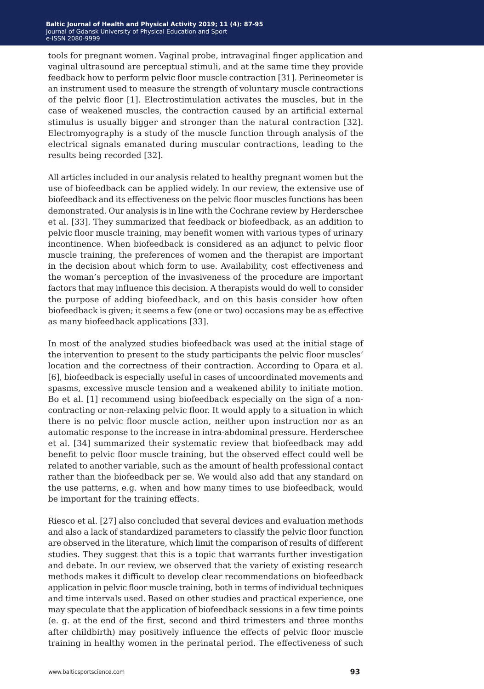tools for pregnant women. Vaginal probe, intravaginal finger application and vaginal ultrasound are perceptual stimuli, and at the same time they provide feedback how to perform pelvic floor muscle contraction [31]. Perineometer is an instrument used to measure the strength of voluntary muscle contractions of the pelvic floor [1]. Electrostimulation activates the muscles, but in the case of weakened muscles, the contraction caused by an artificial external stimulus is usually bigger and stronger than the natural contraction [32]. Electromyography is a study of the muscle function through analysis of the electrical signals emanated during muscular contractions, leading to the results being recorded [32].

All articles included in our analysis related to healthy pregnant women but the use of biofeedback can be applied widely. In our review, the extensive use of biofeedback and its effectiveness on the pelvic floor muscles functions has been demonstrated. Our analysis is in line with the Cochrane review by Herderschee et al. [33]. They summarized that feedback or biofeedback, as an addition to pelvic floor muscle training, may benefit women with various types of urinary incontinence. When biofeedback is considered as an adjunct to pelvic floor muscle training, the preferences of women and the therapist are important in the decision about which form to use. Availability, cost effectiveness and the woman's perception of the invasiveness of the procedure are important factors that may influence this decision. A therapists would do well to consider the purpose of adding biofeedback, and on this basis consider how often biofeedback is given; it seems a few (one or two) occasions may be as effective as many biofeedback applications [33].

In most of the analyzed studies biofeedback was used at the initial stage of the intervention to present to the study participants the pelvic floor muscles' location and the correctness of their contraction. According to Opara et al. [6], biofeedback is especially useful in cases of uncoordinated movements and spasms, excessive muscle tension and a weakened ability to initiate motion. Bo et al. [1] recommend using biofeedback especially on the sign of a noncontracting or non-relaxing pelvic floor. It would apply to a situation in which there is no pelvic floor muscle action, neither upon instruction nor as an automatic response to the increase in intra-abdominal pressure. Herderschee et al. [34] summarized their systematic review that biofeedback may add benefit to pelvic floor muscle training, but the observed effect could well be related to another variable, such as the amount of health professional contact rather than the biofeedback per se. We would also add that any standard on the use patterns, e.g. when and how many times to use biofeedback, would be important for the training effects.

Riesco et al. [27] also concluded that several devices and evaluation methods and also a lack of standardized parameters to classify the pelvic floor function are observed in the literature, which limit the comparison of results of different studies. They suggest that this is a topic that warrants further investigation and debate. In our review, we observed that the variety of existing research methods makes it difficult to develop clear recommendations on biofeedback application in pelvic floor muscle training, both in terms of individual techniques and time intervals used. Based on other studies and practical experience, one may speculate that the application of biofeedback sessions in a few time points (e. g. at the end of the first, second and third trimesters and three months after childbirth) may positively influence the effects of pelvic floor muscle training in healthy women in the perinatal period. The effectiveness of such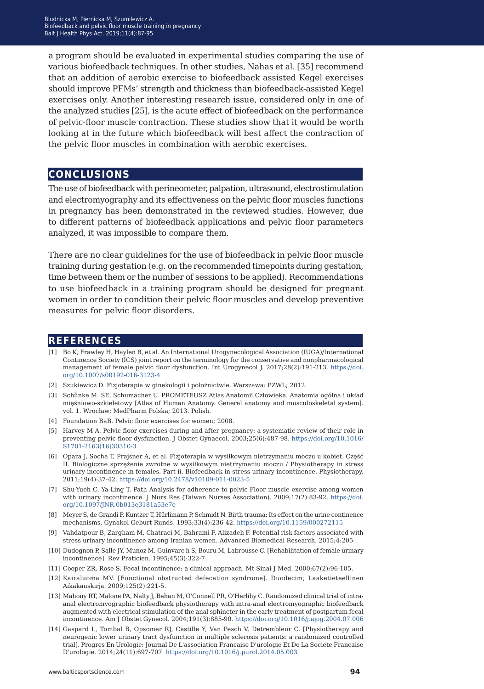a program should be evaluated in experimental studies comparing the use of various biofeedback techniques. In other studies, Nahas et al. [35] recommend that an addition of aerobic exercise to biofeedback assisted Kegel exercises should improve PFMs' strength and thickness than biofeedback-assisted Kegel exercises only. Another interesting research issue, considered only in one of the analyzed studies [25], is the acute effect of biofeedback on the performance of pelvic-floor muscle contraction. These studies show that it would be worth looking at in the future which biofeedback will best affect the contraction of the pelvic floor muscles in combination with aerobic exercises.

#### **conclusions**

The use of biofeedback with perineometer, palpation, ultrasound, electrostimulation and electromyography and its effectiveness on the pelvic floor muscles functions in pregnancy has been demonstrated in the reviewed studies. However, due to different patterns of biofeedback applications and pelvic floor parameters analyzed, it was impossible to compare them.

There are no clear guidelines for the use of biofeedback in pelvic floor muscle training during gestation (e.g. on the recommended timepoints during gestation, time between them or the number of sessions to be applied). Recommendations to use biofeedback in a training program should be designed for pregnant women in order to condition their pelvic floor muscles and develop preventive measures for pelvic floor disorders.

#### **references**

- [1] Bo K, Frawley H, Haylen B, et al. An International Urogynecological Association (IUGA)/International Continence Society (ICS) joint report on the terminology for the conservative and nonpharmacological management of female pelvic floor dysfunction. Int Urogynecol J. 2017;28(2):191-213. [https://doi.](https://doi.org/10.1007/s00192-016-3123-4) [org/10.1007/s00192-016-3123-4](https://doi.org/10.1007/s00192-016-3123-4)
- [2] Szukiewicz D. Fizjoterapia w ginekologii i położnictwie. Warszawa: PZWL; 2012.
- [3] Schȕnke M. SE, Schumacher U. PROMETEUSZ Atlas Anatomii Człowieka. Anatomia ogólna i układ mięśniowo-szkieletowy [Atlas of Human Anatomy. General anatomy and musculoskeletal system]. vol. 1. Wrocław: MedPharm Polska; 2013. Polish.
- [4] Foundation BaB. Pelvic floor exercises for women: 2008.
- [5] Harvey M-A. Pelvic floor exercises during and after pregnancy: a systematic review of their role in preventing pelvic floor dysfunction. J Obstet Gynaecol. 2003;25(6):487-98. [https://doi.org/10.1016/](https://doi.org/10.1016/S1701-2163(16)30310-3
) [S1701-2163\(16\)30310-3](https://doi.org/10.1016/S1701-2163(16)30310-3
)
- [6] Opara J, Socha T, Prajsner A, et al. Fizjoterapia w wysiłkowym nietrzymaniu moczu u kobiet. Część II. Biologiczne sprzężenie zwrotne w wysiłkowym nietrzymaniu moczu / Physiotherapy in stress urinary incontinence in females. Part ii. Biofeedback in stress urinary incontinence. Physiotherapy. 2011;19(4):37-42. <https://doi.org/10.2478/v10109-011-0023-5>
- [7] Shu-Yueh C, Ya-Ling T. Path Analysis for adherence to pelvic Floor muscle exercise among women with urinary incontinence. J Nurs Res (Taiwan Nurses Association). 2009;17(2):83-92. [https://doi.](https://doi.org/10.1097/JNR.0b013e3181a53e7e) [org/10.1097/JNR.0b013e3181a53e7e](https://doi.org/10.1097/JNR.0b013e3181a53e7e)
- [8] Meyer S, de Grandi P, Kuntzer T, Hürlimann P, Schmidt N. Birth trauma: Its effect on the urine continence mechanisms. Gynakol Geburt Runds. 1993;33(4):236-42. <https://doi.org/10.1159/000272115>
- [9] Vahdatpour B, Zargham M, Chatraei M, Bahrami F, Alizadeh F. Potential risk factors associated with stress urinary incontinence among Iranian women. Advanced Biomedical Research. 2015;4:205-.
- [10] Dudognon P, Salle JY, Munoz M, Guinvarc'h S, Bouru M, Labrousse C. [Rehabilitation of female urinary incontinence]. Rev Praticien. 1995;45(3):322-7.
- [11] Cooper ZR, Rose S. Fecal incontinence: a clinical approach. Mt Sinai J Med. 2000;67(2):96-105.
- [12] Kairaluoma MV. [Functional obstructed defecation syndrome]. Duodecim; Laaketieteellinen Aikakauskirja. 2009;125(2):221-5.
- [13] Mahony RT, Malone PA, Nalty J, Behan M, O'Connell PR, O'Herlihy C. Randomized clinical trial of intraanal electromyographic biofeedback physiotherapy with intra-anal electromyographic biofeedback augmented with electrical stimulation of the anal sphincter in the early treatment of postpartum fecal incontinence. Am J Obstet Gynecol. 2004;191(3):885-90. [https://doi.org/10.1016/j.ajog.2004.07.006](https://doi.org/10.1016/j.ajog.2004.07.006
)
- [14] Gaspard L, Tombal B, Opsomer RJ, Castille Y, Van Pesch V, Detrembleur C. [Physiotherapy and neurogenic lower urinary tract dysfunction in multiple sclerosis patients: a randomized controlled trial]. Progres En Urologie: Journal De L'association Francaise D'urologie Et De La Societe Francaise D'urologie. 2014;24(11):697-707[. https://doi.org/10.1016/j.purol.2014.05.003](https://doi.org/10.1016/j.purol.2014.05.003)